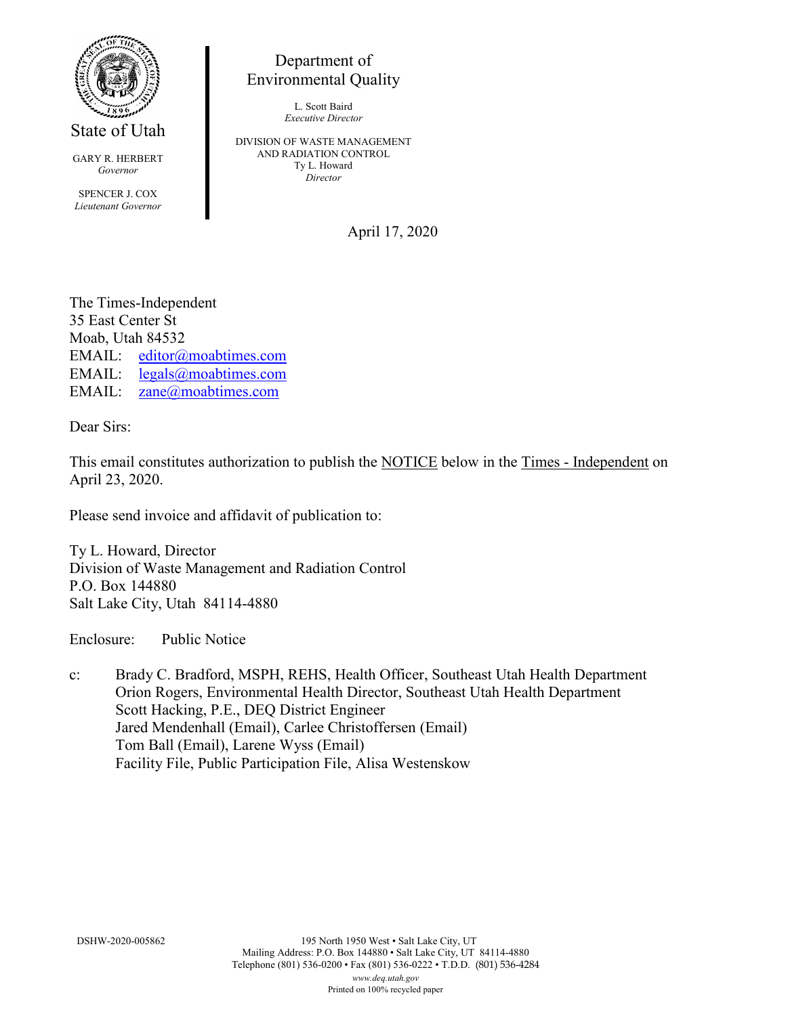

State of Utah

GARY R. HERBERT *Governor* SPENCER J. COX *Lieutenant Governor*

Department of Environmental Quality

> L. Scott Baird *Executive Director*

DIVISION OF WASTE MANAGEMENT AND RADIATION CONTROL Ty L. Howard *Director*

April 17, 2020

The Times-Independent 35 East Center St Moab, Utah 84532 EMAIL: [editor@moabtimes.com](mailto:editor@moabtimes.com) EMAIL: [legals@moabtimes.com](mailto:legals@moabtimes.com) EMAIL: [zane@moabtimes.com](mailto:zane@moabtimes.com)

Dear Sirs:

This email constitutes authorization to publish the NOTICE below in the Times - Independent on April 23, 2020.

Please send invoice and affidavit of publication to:

Ty L. Howard, Director Division of Waste Management and Radiation Control P.O. Box 144880 Salt Lake City, Utah 84114-4880

Enclosure: Public Notice

c: Brady C. Bradford, MSPH, REHS, Health Officer, Southeast Utah Health Department Orion Rogers, Environmental Health Director, Southeast Utah Health Department Scott Hacking, P.E., DEQ District Engineer Jared Mendenhall (Email), Carlee Christoffersen (Email) Tom Ball (Email), Larene Wyss (Email) Facility File, Public Participation File, Alisa Westenskow